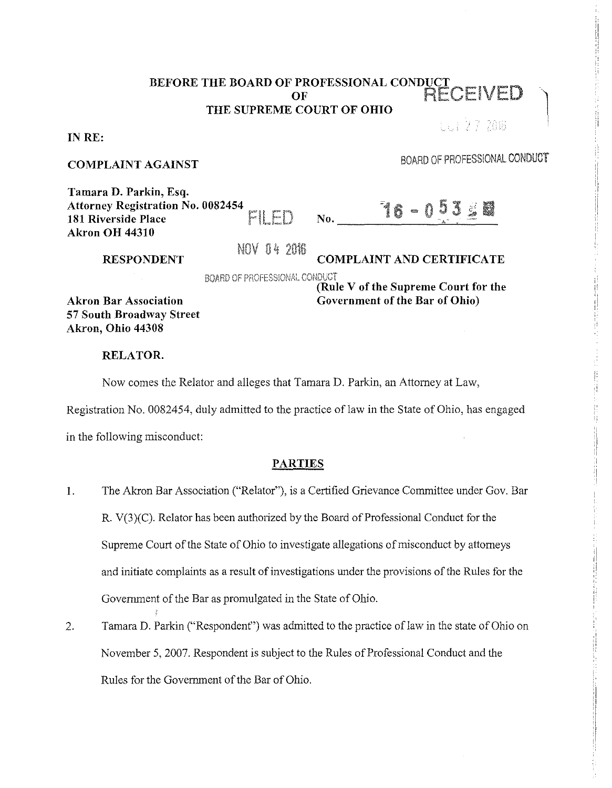# BEFORE THE BOARD OF PROFESSIONAL CONDUCT OF RECEIVED THE SUPREME COURT OF OHIO

IN RE:

### COMPLAINT AGAINST

BOARD OF PROFESSIONAL CONDUCT

 $1.127208$ 

, i !I !i r, ,I

ii !, ,,

:: :! ,I I I

 $\vert$ 

;I ,1

'i

!/  $\vert$ 

| Tamara D. Parkin, Esq.                   |       |
|------------------------------------------|-------|
| <b>Attorney Registration No. 0082454</b> |       |
| 181 Riverside Place                      | FILED |
| <b>Akron OH 44310</b>                    |       |

NOV 04 2016

# COMPLAINT AND CERTIFICATE

 $N_{0}.$   $16 - 0.53 \geq 8$ 

BOARD OF PROFESSIONAL CONDUCT

Akron Bar Association 57 South Broadway Street Akron, Ohio 44308

RESPONDENT

(Rule V of the Supreme Court for the Government of the Bar of Ohio)

## RELATOR.

Now comes the Relator and alleges that Tamara D. Parkin, an Attorney at Law,

Registration No. 0082454, duly admitted to the practice of law in the State of Ohio, has engaged

in the following misconduct:

## PARTIES

- I. The Akron Bar Association ("Relator"), is a Certified Grievance Committee under Gov. Bar R. V(3)(C). Relator has been authorized by the Board of Professional Conduct for the Supreme Court of the State of Ohio to investigate allegations of misconduct by attorneys and initiate complaints as a result of investigations under the provisions of the Rules for the Government of the Bar as promulgated in the State of Ohio.
- 2. Tamara D. Parkin ("Respondent") was admitted to the practice of law in the state of Ohio on November 5, 2007. Respondent is subject to the Rules of Professional Conduct and the Rules for the Government of the Bar of Ohio.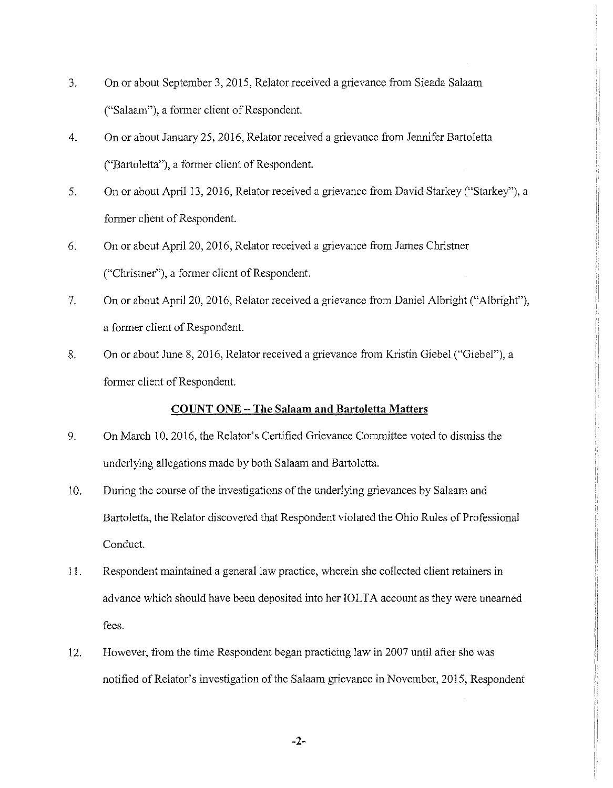- 3. On or about September 3, 2015, Relator received a grievance from Sieada Salaam ("Salaam"), a former client of Respondent.
- 4. On or about January 25, 2016, Relator received a grievance from Jennifer Bartoletta ("Bartoletta"), a former client of Respondent.
- 5. On or about April 13, 2016, Relator received a grievance from David Starkey ("Starkey"), a former client of Respondent.
- 6. On or about April 20, 2016, Relator received a grievance from James Christner ("Christner"), a former client of Respondent.
- 7. On or about April 20, 2016, Relator received a grievance from Daniel Albright ("Albright"), a former client of Respondent.
- 8. On or about June 8, 2016, Relator received a grievance from Kristin Giebel ("Giebel"), a former client of Respondent.

## **COUNT ONE - The Salaam and Bartoletta Matters**

i

!

- 9. On March 10, 2016, the Relator's Certified Grievance Committee voted to dismiss the underlying allegations made by both Salaam and Bartoletta.
- 10. During the course of the investigations of the underlying grievances by Salaam and Bartoletta, the Relator discovered that Respondent violated the Ohio Rules of Professional Conduct.
- 11. Respondent maintained a general law practice, wherein she collected client retainers in advance which should have been deposited into her IOLTA account as they were unearned fees.
- 12. However, from the time Respondent began practicing law in 2007 until after she was notified of Relator's investigation of the Salaam grievance in November, 2015, Respondent

**-2-**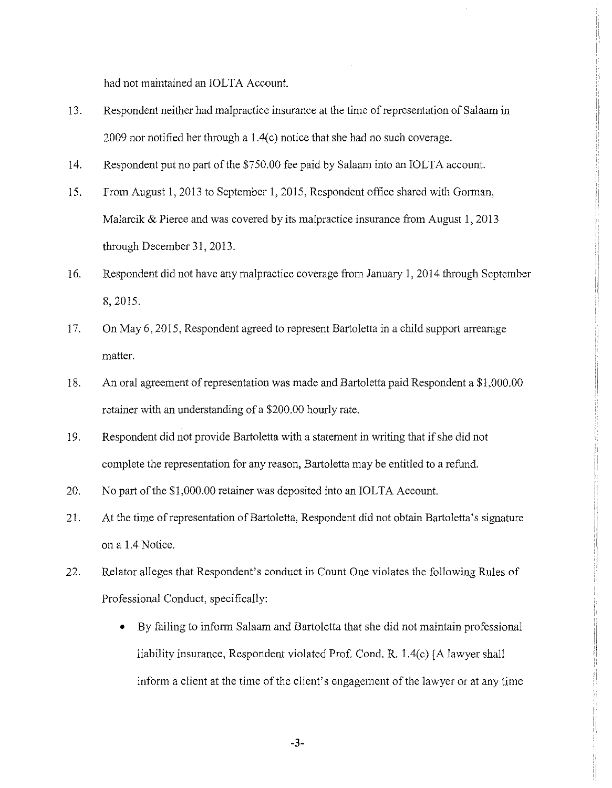had not maintained an IOLTA Account.

- 13. Respondent neither had malpractice insurance at the time ofrepresentation of Salaam in 2009 nor notified her through a  $1.4(c)$  notice that she had no such coverage.
- 14. Respondent put no part of the \$750.00 fee paid by Salaam into an IOLTA account.
- 15. From August I, 2013 to September 1, 2015, Respondent office shared with Gorman, Malarcik & Pierce and was covered by its malpractice insurance from August 1, 2013 through December 31, 2013.
- 16. Respondent did not have any malpractice coverage from January 1, 2014 through September 8, 2015.

i ',

!i ,,

ii  $\ddot{\phantom{a}}$ 

ii .I 'I I' ii

- 17. On May 6, 2015, Respondent agreed to represent Bartoletta in a child support arrearage matter.
- 18. An oral agreement of representation was made and Bartoletta paid Respondent a \$1,000.00 retainer with an understanding of a \$200.00 hourly rate.
- 19. Respondent did not provide Bartoletta with a statement in writing that if she did not complete the representation for any reason, Bartoletta may be entitled to a refund.
- 20. No part of the \$1,000.00 retainer was deposited into an IOLTA Account.
- 21. At the time of representation of Bartoletta, Respondent did not obtain Bartoletta's signature on a 1.4 Notice.
- 22. Relator alleges that Respondent's conduct in Count One violates the following Rules of Professional Conduct, specifically:
	- By failing to inform Salaam and Bartoletta that she did not maintain professional liability insurance, Respondent violated Prof. Cond. R.  $1.4(c)$  [A lawyer shall inform a client at the time of the client's engagement of the lawyer or at any time

-3-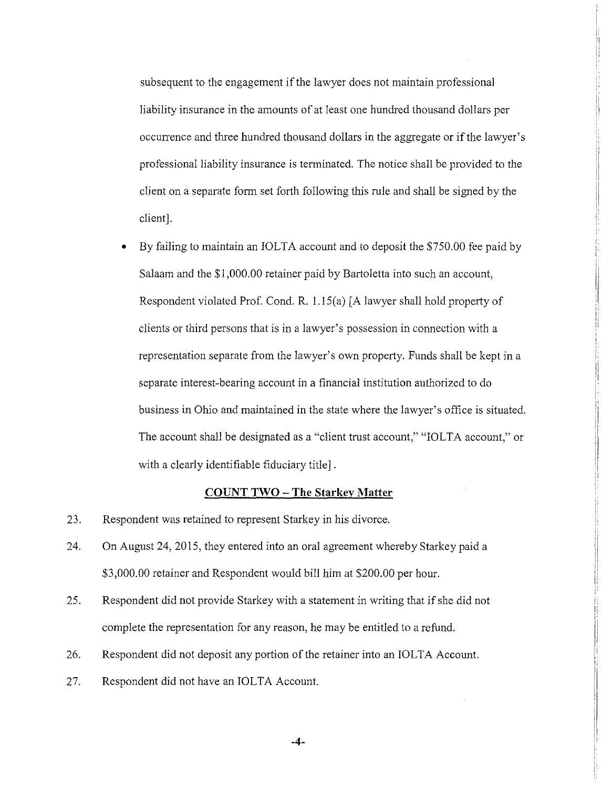subsequent to the engagement if the lawyer does not maintain professional liability insurance in the amounts of at least one hundred thousand dollars per occurrence and three hundred thousand dollars in the aggregate or if the lawyer's professional liability insurance is terminated. The notice shall be provided to the :I client on a separate form set forth following this rule and shall be signed by the client].

ii

II ' ,,

• By failing to maintain an IOLTA account and to deposit the \$750.00 fee paid by Salaam and the \$1,000.00 retainer paid by Bartoletta into such an account, Respondent violated Prof. Cond. R. l.15(a) [A lawyer shall hold property of clients or third persons that is in a lawyer's possession in connection with a representation separate from the lawyer's own property. Funds shall be kept in a separate interest-bearing account in a financial institution authorized to do business in Ohio and maintained in the state where the lawyer's office is situated. The account shall be designated as a "client trust account," "IOLTA account," or with a clearly identifiable fiduciary title] .

## **COUNT TWO - The Starkey Matter**

- 23. Respondent was retained to represent Starkey in his divorce.
- 24. On August 24, 2015, they entered into an oral agreement whereby Starkey paid a \$3,000.00 retainer and Respondent would bill him at \$200.00 per hour.
- 25. Respondent did not provide Starkey with a statement in writing that if she did not complete the representation for any reason, he may be entitled to a refund.
- 26. Respondent did not deposit any portion of the retainer into an IOLTA Account.
- 27. Respondent did not have an IOLTA Account.

**-4-**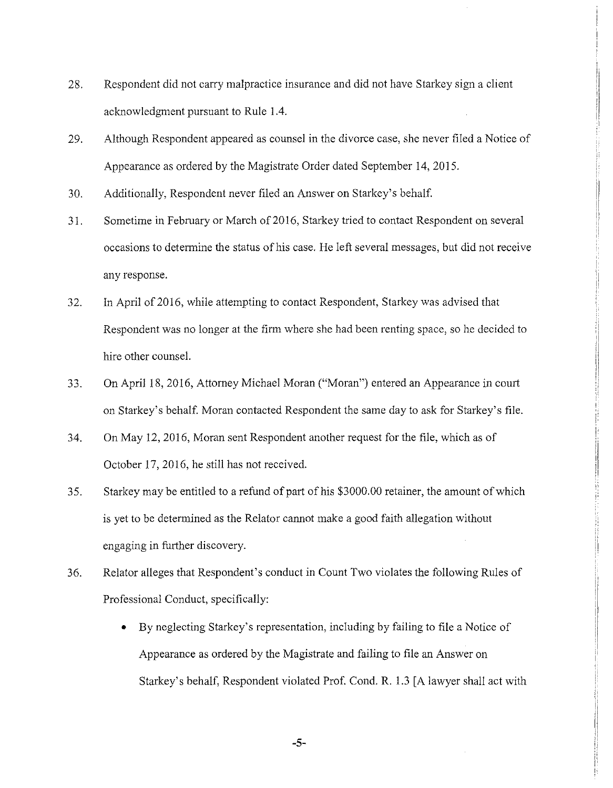- 28. Respondent did not carry malpractice insurance and did not have Starkey sign a client acknowledgment pursuant to Rule 1.4.
- 29. Although Respondent appeared as counsel in the divorce case, she never filed a Notice of Appearance as ordered by the Magistrate Order dated September 14, 2015.

ii  $\parallel$ 

'i I!

11 Jr I!

- 30. Additionally, Respondent never filed an Answer on Starkey's behalf.
- 31. Sometime in February or March of 2016, Starkey tried to contact Respondent on several occasions to determine the status of his case. He left several messages, but did not receive any response.
- 32. In April of 2016, while attempting to contact Respondent, Starkey was advised that Respondent was no longer at the firm where she had been renting space, so he decided to hire other counsel.
- 33. On April 18, 2016, Attorney Michael Moran ("Moran") entered an Appearance in court on Starkey's behalf. Moran contacted Respondent the same day to ask for Starkey's file.
- 34. On May 12, 2016, Moran sent Respondent another request for the file, which as of October 17, 2016, he still has not received.
- 35. Starkey may be entitled to a refund of part of his \$3000.00 retainer, the amount of which is yet to be determined as the Relator cannot make a good faith allegation without engaging in further discovery.
- 36. Relator alleges that Respondent's conduct in Count Two violates the following Rules of Professional Conduct, specifically:
	- By neglecting Starkey's representation, including by failing to file a Notice of Appearance as ordered by the Magistrate and failing to file an Answer on Starkey's behalf, Respondent violated Prof. Cond. R. 1.3 [ A lawyer shall act with

-5-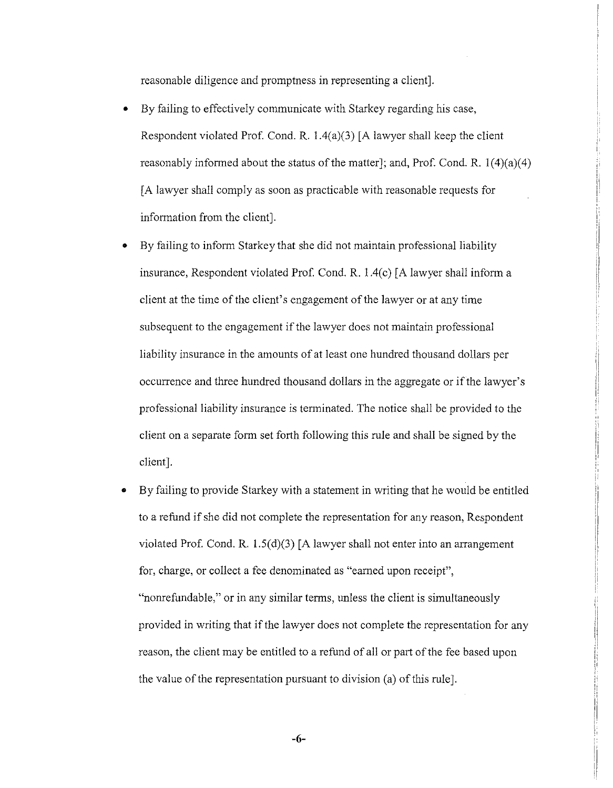reasonable diligence and promptness in representing a client].

- By failing to effectively communicate with Starkey regarding his case, Respondent violated Prof. Cond. R.  $1.4(a)(3)$  [A lawyer shall keep the client reasonably informed about the status of the matter]; and, Prof. Cond. R.  $1(4)(a)(4)$ [ A lawyer shall comply as soon as practicable with reasonable requests for information from the client].
- By failing to inform Starkey that she *did* not maintain professional liability insurance, Respondent violated Prof. Cond. R.  $1.4(c)$  [A lawyer shall inform a client at the time of the client's engagement of the lawyer or at any time subsequent to the engagement if the lawyer does not maintain professional liability insurance in the amounts of at least one hundred thousand dollars per occurrence and three hundred thousand dollars in the aggregate or if the lawyer's professional liability insurance is terminated. The notice shall be provided to the client on a separate form set forth following this rule and shall be signed by the client].
- By failing to provide Starkey with a statement in writing that he would be entitled to a refund if she did not complete the representation for any reason, Respondent violated Prof. Cond. R. 1.5(d)(3) [A lawyer shall not enter into an arrangement for, charge, or collect a fee denominated as "earned upon receipt", "nonrefundable," or in any similar terms, unless the client is simultaneously provided in writing that if the lawyer does not complete the representation for any reason, the client may be entitled to a refund of all or part of the fee based upon the value of the representation pursuant to division (a) of this rule].

-6-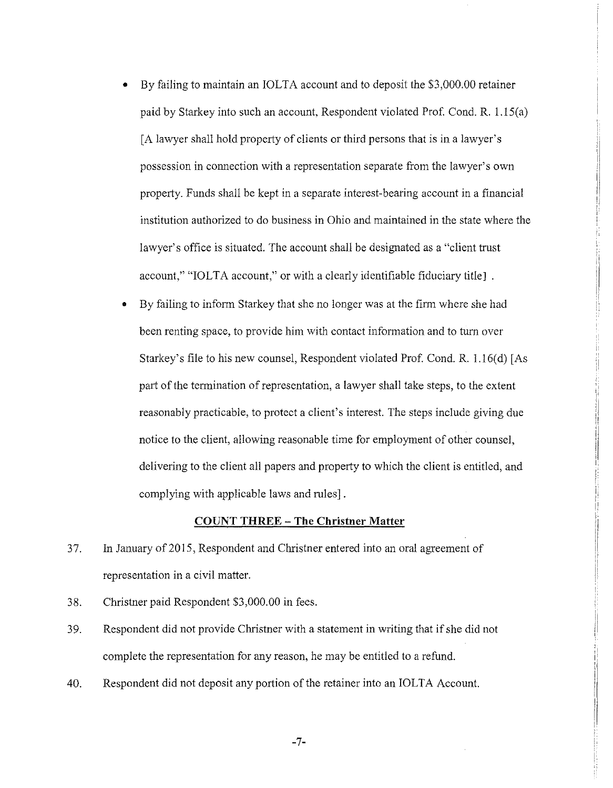• By failing to maintain an IOLTA account and to deposit the \$3,000.00 retainer paid by Starkey into such an account, Respondent violated Prof. Cond. R. l.15(a) [A lawyer shall hold property of clients or third persons that is in a lawyer's possession in connection with a representation separate from the lawyer's own property. Funds shall be kept in a separate interest-bearing account in a financial institution authorized to do business in Ohio and maintained in the state where the lawyer's office is situated. The account shall be designated as a "client tmst account," "IOLTA account," or with a clearly identifiable fiduciary title].

I I• I

11 !i

;i I

 $\mathop{||}$ 

I I I !i I' ii

Ii j;

• By failing to inform Starkey that she no longer was at the firm where she had been renting space, to provide him with contact information and to turn over Starkey's file to his new counsel, Respondent violated Prof. Cond. R. 1.16(d) [As part of the termination of representation, a lawyer shall take steps, to the extent reasonably practicable, to protect a client's interest. The steps include giving due notice to the client, allowing reasonable time for employment of other counsel, delivering to the client all papers and property to which the client is entitled, and complying with applicable laws and mies] .

## **COUNT THREE - The Christner Matter**

- 37. In January of 2015, Respondent and Christner entered into an oral agreement of representation in a civil matter.
- 38. Christner paid Respondent \$3,000.00 in fees.
- 39. Respondent did not provide Christner with a statement in writing that if she did not complete the representation for any reason, he may be entitled to a refund.
- 40. Respondent did not deposit any portion of the retainer into an IOLTA Account.

-7-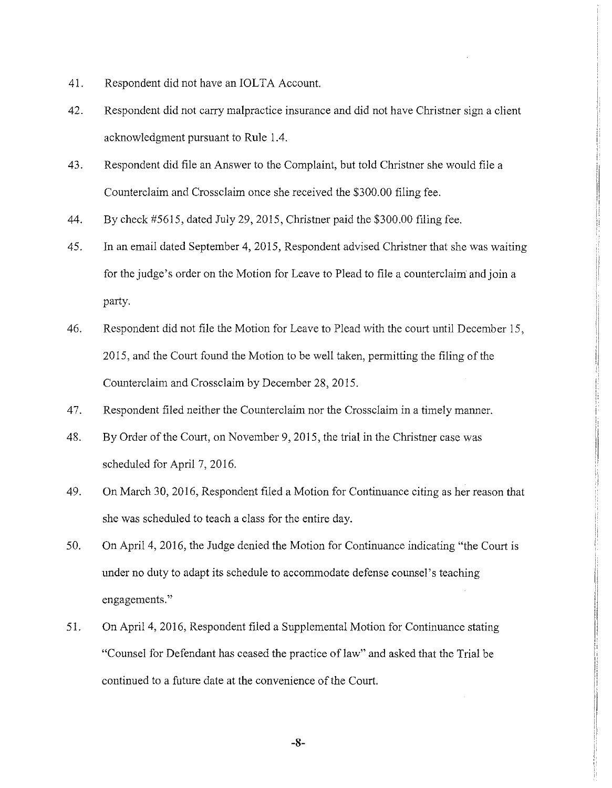- 41. Respondent did not have an IOLTA Account.
- 42. Respondent did not carry malpractice insurance and did not have Christner sign a client acknowledgment pursuant to Rule 1.4.
- 43. Respondent did file an Answer to the Complaint, but told Christner she would file a Counterclaim and Crossclaim once she received the \$300.00 filing fee.
- 44. By check #5615, dated July 29, 2015, Christner paid the \$300.00 filing fee.
- 45. In an email dated September 4, 2015, Respondent advised Christner that she was waiting for the judge's order on the Motion for Leave to Plead to file a counterclaim and join a party.
- 46. Respondent did not file the Motion for Leave to Plead with the court until December 15, 2015, and the Court found the Motion to be well taken, permitting the filing of the Counterclaim and Crossclaim by December 28, 2015.
- 47. Respondent filed neither the Counterclaim nor the Crossclaim in a timely manner.
- 48. By Order of the Court, on November 9, 2015, the trial in the Christner case was scheduled for April 7, 2016.
- 49. On March 30, 2016, Respondent filed a Motion for Continuance citing as her reason that she was scheduled to teach a class for the entire day.
- 50. On April 4, 2016, the Judge denied the Motion for Continuance indicating "the Court is under no duty to adapt its schedule to accommodate defense counsel's teaching engagements."
- 51. On April 4, 2016, Respondent filed a Supplemental Motion for Continuance stating "Counsel for Defendant has ceased the practice of law" and asked that the Trial be continued to a future date at the convenience of the Court.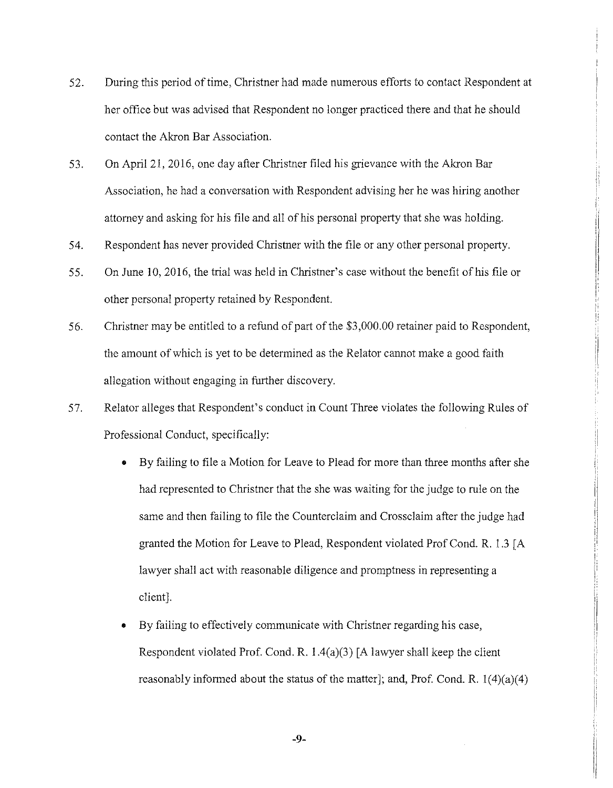- 52. During this period of time, Christner had made numerous efforts to contact Respondent at her office but was advised that Respondent no longer practiced there and that he should contact the Akron Bar Association.
- 53. On April 21, 2016, one day after Christner filed his grievance with the Akron Bar Association, he had a conversation with Respondent advising her he was hiring another attorney and asking for his file and all of his personal property that she was holding.
- 54. Respondent has never provided Christner with the file or any other personal property.
- 55. On June 10, 2016, the trial was held in Christner's case without the benefit of his file or other personal property retained by Respondent.
- 56. Christner may be entitled to a refund of part of the \$3,000.00 retainer paid to Respondent, the amount of which is yet to be determined as the Relator cannot make a good faith allegation without engaging in further discovery.
- 57. Relator alleges that Respondent's conduct in Count Three violates the following Rules of Professional Conduct, specifically:
	- By failing to file a Motion for Leave to Plead for more than three months after she had represented to Christner that the she was waiting for the judge to rule on the same and then failing to file the Counterclaim and Crossclaim after the judge had granted the Motion for Leave to Plead, Respondent violated Prof Cond. R. 1.3 [ A lawyer shall act with reasonable diligence and promptness in representing a client].

 $\begin{array}{c} \begin{array}{c} \begin{array}{c} \begin{array}{c} \end{array} \\ \end{array} \\ \begin{array}{c} \end{array} \end{array} \end{array} \end{array}$ 

• By failing to effectively communicate with Christner regarding his case, Respondent violated Prof. Cond. R.  $1.4(a)(3)$  [A lawyer shall keep the client reasonably informed about the status of the matter]; and, Prof. Cond. R.  $1(4)(a)(4)$ 

-9-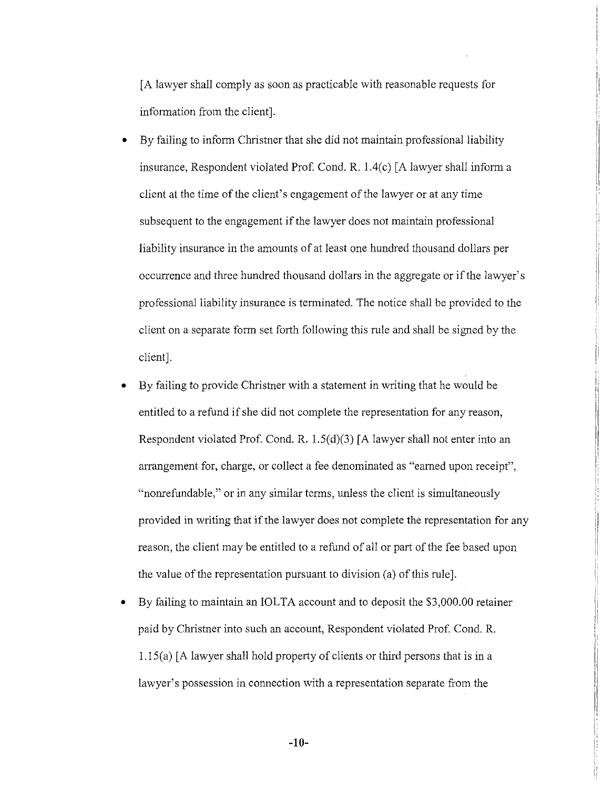[A lawyer shall comply as soon as practicable with reasonable requests for information from the client].

- By failing to inform Christner that she did not maintain professional liability insurance, Respondent violated Prof. Cond. R. l.4(c) [A lawyer shall inform a client at the time of the client's engagement of the lawyer or at any time subsequent to the engagement if the lawyer does not maintain professional liability insurance in the amounts of at least one hundred thousand dollars per occurrence and three hundred thousand dollars in the aggregate or if the lawyer's professional liability insurance is terminated. The notice shall be provided to the client on a separate form set forth following this rule and shall be signed by the client].
- By failing to provide Christner with a statement in writing that he would be entitled to a refund if she did not complete the representation for any reason, Respondent violated Prof. Cond. R.  $1.5(d)(3)$  [A lawyer shall not enter into an arrangement for, charge, or collect a fee denominated as "earned upon receipt", "nonrefundable," or in any similar terms, unless the client is simultaneously provided in writing that if the lawyer does not complete the representation for any reason, the client may be entitled to a refund of all or part of the fee based upon the value of the representation pursuant to division (a) of this rule].
- By failing to maintain an IOLTA account and to deposit the \$3,000.00 retainer paid by Christner into such an account, Respondent violated Prof. Cond. R. 1.1 S(a) [ A lawyer shall hold property of clients or third persons that is in a lawyer's possession in connection with a representation separate from the

-10-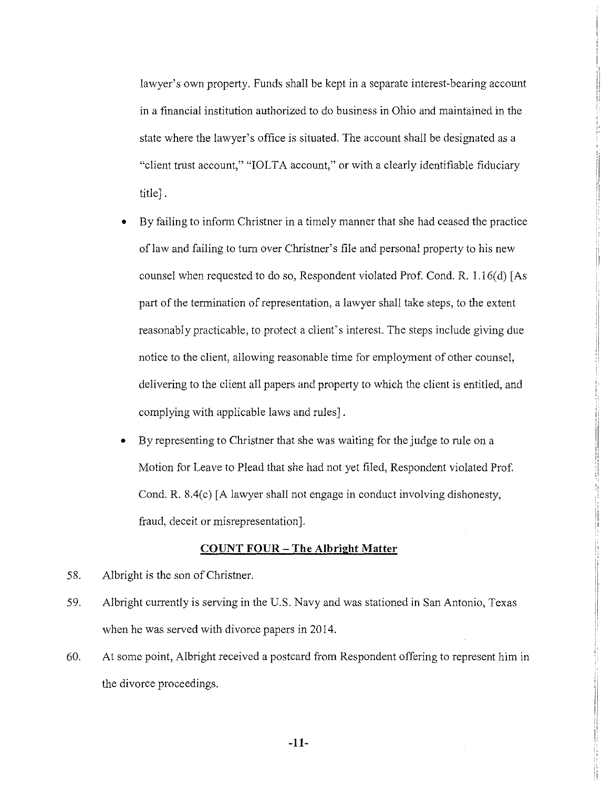lawyer's own property. Funds shall be kept in a separate interest-bearing account in a financial institution authorized to do business in Ohio and maintained in the state where the lawyer's office is situated. The account shall be designated as a "client trust account," "IOLTA account," or with a clearly identifiable fiduciary title].

ii ,I :I

i· f!

ii ,, ;;

- By failing to inform Christner in a timely manner that she had ceased the practice of law and failing to turn over Christner's file and personal property to his new counsel when requested to do so, Respondent violated Prof. Cond. R. l.16(d) [As part of the termination of representation, a lawyer shall take steps, to the extent reasonably practicable, to protect a client's interest. The steps include giving due notice to the client, allowing reasonable time for employment of other counsel, delivering to the client all papers and property to which the client is entitled, and complying with applicable laws and rules].
- By representing to Christner that she was waiting for the judge to rule on a Motion for Leave to Plead that she had not yet filed, Respondent violated Prof. Cond. R. 8.4(c) [A lawyer shall not engage in conduct involving dishonesty, fraud, deceit or misrepresentation].

### **COUNT FOUR- The Albright Matter**

- 58. Albright is the son of Christner.
- 59. Albright currently is serving in the U.S. Navy and was stationed in San Antonio, Texas when he was served with divorce papers in 2014.
- 60. At some point, Albright received a postcard from Respondent offering to represent him in the divorce proceedings.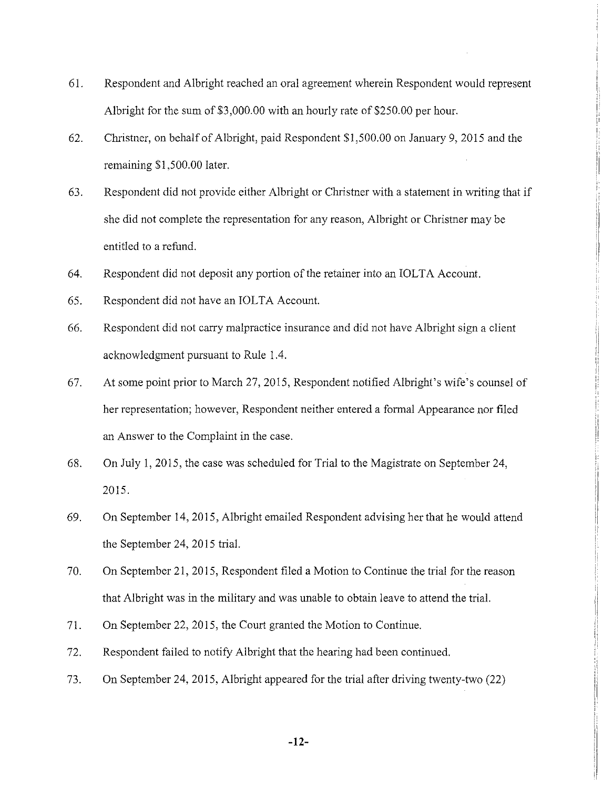- 61. Respondent and Albright reached an oral agreement wherein Respondent would represent Albright for the sum of \$3,000.00 with an hourly rate of \$250.00 per hour.
- 62. Christner, on behalf of Albright, paid Respondent \$1,500.00 on January 9, 2015 and the remaining \$1,500.00 later.
- 63. Respondent did not provide either Albright or Christner with a statement in writing that if she did not complete the representation for any reason, Albright or Christner may be entitled to a refund.
- 64. Respondent did not deposit any portion of the retainer into an IOLT A Account.
- 65. Respondent did not have an IOLTA Account.
- 66. Respondent did not carry malpractice insurance and did not have Albright sign a client acknowledgment pursuant to Rule 1.4.
- 67. At some point prior to March 27, 2015, Respondent notified Albright's wife's counsel of her representation; however, Respondent neither entered a formal Appearance nor filed an Answer to the Complaint in the case.
- 68. On July 1, 2015, the case was scheduled for Trial to the Magistrate on September 24, 2015.
- 69. On September 14, 2015, Albright emailed Respondent advising her that he would attend the September 24, 2015 trial.
- 70. On September 21, 2015, Respondent filed a Motion to Continue the trial for the reason that Albright was in the military and was unable to obtain leave to attend the trial.
- 71. On September 22, 2015, the Court granted the Motion to Continue.
- 72. Respondent failed to notify Albright that the hearing had been continued.
- 73. On September 24, 2015, Albright appeared for the trial after driving twenty-two (22)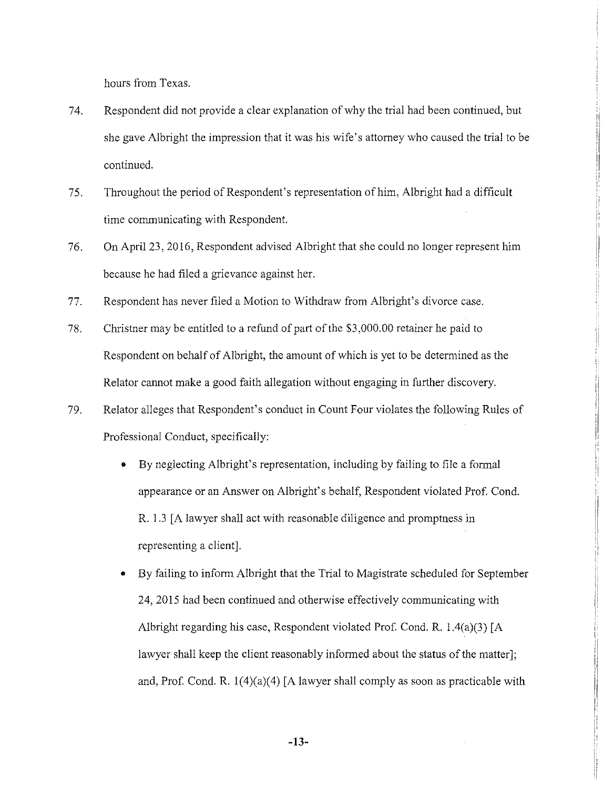hours from Texas.

74. Respondent did not provide a clear explanation of why the trial had been continued, but she gave Albright the impression that it was his wife's attorney who caused the trial to be continued.

!i

ii

ij ;j

ii ,I i/ !,

- 75. Throughout the period of Respondent's representation of him, Albright had a difficult time communicating with Respondent.
- 76. On April 23, 2016, Respondent advised Albright that she could no longer represent him because he had filed a grievance against her.
- 77. Respondent has never filed a Motion to Withdraw from Albright's divorce case.
- 78. Christner may be entitled to a refund of part of the \$3,000.00 retainer he paid to Respondent on behalf of Albright, the amount of which is yet to be determined as the Relator cannot make a good faith allegation without engaging in further discovery.
- 79. Relator alleges that Respondent's conduct in Count Four violates the following Rules of Professional Conduct, specifically:
	- By neglecting Albright's representation, including by failing to file a formal appearance or an Answer on Albright' s behalf, Respondent violated Prof. Cond. R. 1.3 [A lawyer shall act with reasonable diligence and promptness in representing a client].
	- By failing to inform Albright that the Trial to Magistrate scheduled for September 24, 2015 had been continued and otherwise effectively communicating with Albright regarding his case, Respondent violated Prof. Cond. R.  $1.4(a)(3)$  [A lawyer shall keep the client reasonably informed about the status of the matter]; and, Prof. Cond. R.  $1(4)(a)(4)$  [A lawyer shall comply as soon as practicable with

-13-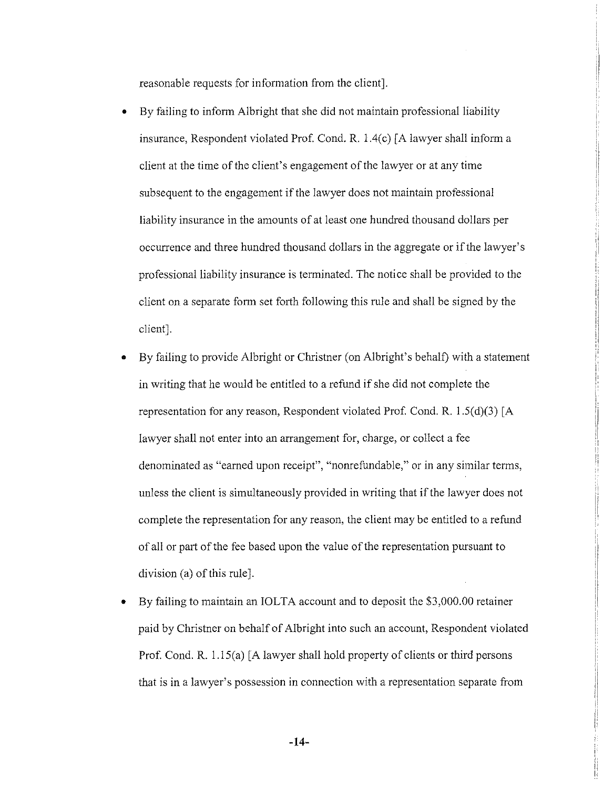reasonable requests for information from the client].

- By failing to inform Albright that she did not maintain professional liability insurance, Respondent violated Prof. Cond. R. 1.4(c) [A lawyer shall inform a client at the time of the client's engagement of the lawyer or at any time subsequent to the engagement if the lawyer does not maintain professional liability insurance in the amounts of at least one hundred thousand dollars per occurrence and three hundred thousand dollars in the aggregate or if the lawyer's professional liability insurance is terminated. The notice shall be provided to the client on a separate form set forth following this rule and shall be signed by the client].
- By failing to provide Albright or Christner (on Albright's behalf) with a statement in writing that he would be entitled to a refund if she did not complete the representation for any reason, Respondent violated Prof. Cond. R.  $1.5(d)(3)$  [A lawyer shall not enter into an arrangement for, charge, or collect a fee denominated as "earned upon receipt", "nomefundable," or in any similar terms, unless the client is simultaneously provided in writing that if the lawyer does not complete the representation for any reason, the client may be entitled to a refund of all or part of the fee based upon the value of the representation pursuant to division (a) of this rule].
- By failing to maintain an IOLTA account and to deposit the \$3,000.00 retainer paid by Christner on behalf of Albright into such an account, Respondent violated Prof. Cond. R.  $1.15(a)$  [A lawyer shall hold property of clients or third persons that is in a lawyer's possession in connection with a representation separate from

!I

ii It :, 1: ' ,. !

ii ' i ii :: ,, ' '

-14-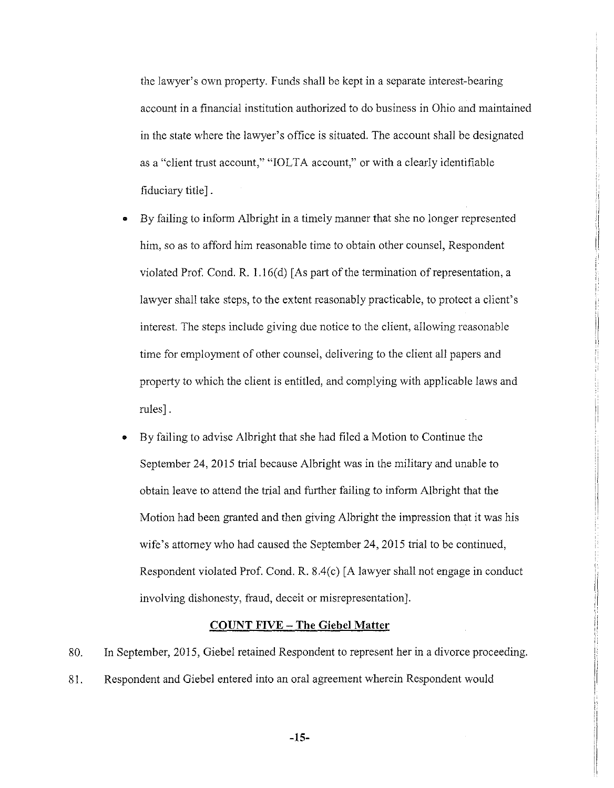the lawyer's own property. Funds shall be kept in a separate interest-bearing account in a financial institution authorized to do business in Ohio and maintained in the state where the lawyer's office is situated. The account shall be designated as a "client trust account," "IOLT A account," or with a clearly identifiable fiduciary title].

• By failing to inform Albright in a timely manner that she no longer represented him, so as to afford him reasonable time to obtain other counsel, Respondent violated Prof. Cond. R.  $1.16(d)$  [As part of the termination of representation, a lawyer shall take steps, to the extent reasonably practicable, to protect a client's interest. The steps include giving due notice to the client, allowing reasonable time for employment of other counsel, delivering to the client all papers and property to which the client is entitled, and complying with applicable laws and rules].

i) ,.

II !i

"

ii

II :,

• By failing to advise Albright that she had filed a Motion to Continue the September 24, 2015 trial because Albright was in the military and unable to obtain leave to attend the trial and further failing to inform Albright that the Motion had been granted and then giving Albright the impression that it was his wife's attorney who had caused the September 24, 2015 trial to be continued, Respondent violated Prof. Cond. R.  $8.4(c)$  [A lawyer shall not engage in conduct involving dishonesty, fraud, deceit or misrepresentation].

### **COUNT FIVE - The Giebel Matter**

80. In September, 2015, Giebel retained Respondent to represent her in a divorce proceeding. 81. Respondent and Giebel entered into an oral agreement wherein Respondent would

**-15-**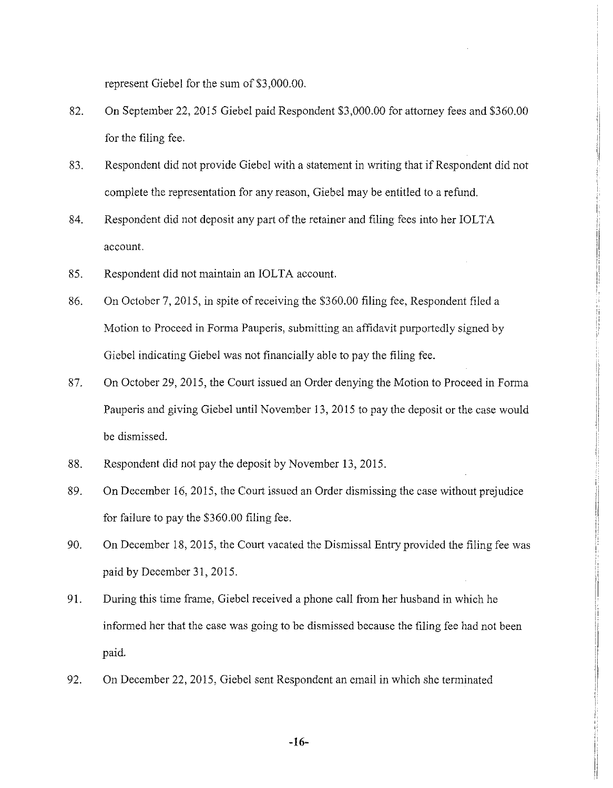represent Giebel for the sum of \$3,000.00.

- 82. On September 22, 2015 Giebel paid Respondent \$3,000.00 for attorney fees and \$360.00 for the filing fee.
- 83. Respondent did not provide Giebel with a statement in writing that if Respondent did not complete the representation for any reason, Giebel may be entitled to a refund.
- 84. Respondent did not deposit any part of the retainer and filing fees into her IOLTA account.
- 85. Respondent did not maintain an IOLTA account.
- 86. On October 7, 2015, in spite of receiving the \$360.00 filing fee, Respondent filed a Motion to Proceed in Forma Pauperis, submitting an affidavit purportedly signed by Giebel indicating Giebel was not financially able to pay the filing fee.
- 87. On October 29, 2015, the Court issued an Order denying the Motion to Proceed in Forma Pauperis and giving Giebel until November 13, 2015 to pay the deposit or the case would be dismissed.
- 88. Respondent did not pay the deposit by November 13, 2015.
- 89. On December 16, 2015, the Court issued an Order dismissing the case without prejudice for failure to pay the \$360.00 filing fee.
- 90. On December 18, 2015, the Court vacated the Dismissal Entry provided the filing fee was paid by December 31, 2015.
- 91. During this time frame, Giebel received a phone call from her husband in which he informed her that the case was going to be dismissed because the filing fee had not been paid.
- 92. On December 22, 2015, Giebel sent Respondent an email in which she terminated

-16-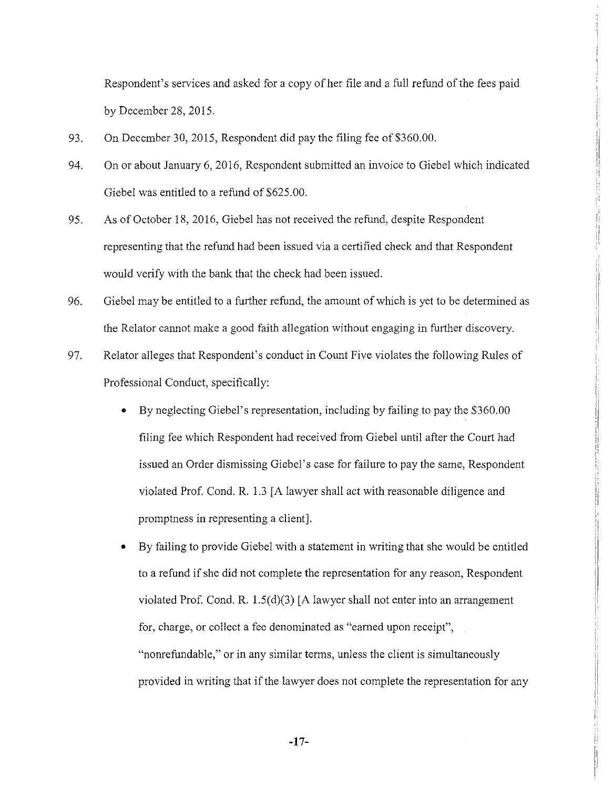Respondent's services and asked for a copy of her file and a full refund of the fees paid by December 28, 2015.

- 93. On December 30, 2015, Respondent did pay the filing fee of \$360.00.
- 94. On or about January 6, 2016, Respondent submitted an invoice to Giebel which indicated Giebel was entitled to a refund of \$625.00.

I, I i1

- 95. As of October 18, 2016, Giebel has not received the refund, despite Respondent representing that the refund had been issued via a certified check and that Respondent would verify with the bank that the check had been issued.
- 96. Giebel may be entitled to a further refund, the amount of which is yet to be determined as the Relator cannot make a good faith allegation without engaging in further discovery.
- 97. Relator alleges that Respondent's conduct in Count Five violates the following Rules of Professional Conduct, specifically:
	- By neglecting Giebel's representation, including by failing to pay the \$360.00 filing fee which Respondent had received from Giebel until after the Court had issued an Order dismissing Giebel's case for failure to pay the same, Respondent violated Prof. Cond. R. 1.3 [A lawyer shall act with reasonable diligence and promptness in representing a client].
	- By failing to provide Giebel with a statement in writing that she would be entitled to a refund if she did not complete the representation for any reason, Respondent violated Prof. Cond. R.  $1.5(d)(3)$  [A lawyer shall not enter into an arrangement for, charge, or collect a fee denominated as "earned upon receipt", "nonrefundable," or in any similar terms, unless the client is simultaneously provided in writing that if the lawyer does not complete the representation for any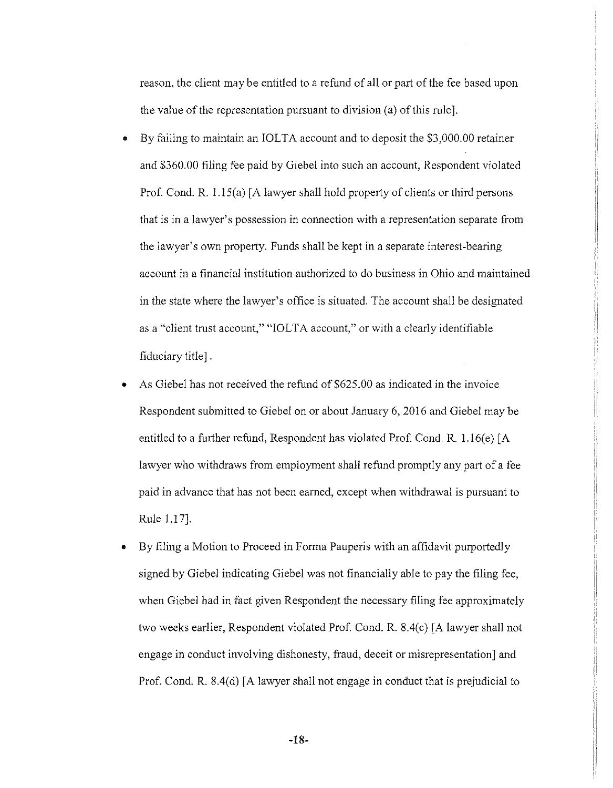reason, the client may be entitled to a refund of all or part of the fee based upon the value of the representation pursuant to division  $(a)$  of this rule.

- By failing to maintain an IOLTA account and to deposit the \$3,000.00 retainer and \$360.00 filing fee paid by Giebel into such an account, Respondent violated Prof. Cond. R. l.15(a) [A lawyer shall hold property of clients or third persons that is in a lawyer's possession in connection with a representation separate from the lawyer's own property. Funds shall be kept in a separate interest-bearing account in a financial institution authorized to do business in Ohio and maintained in the state where the lawyer's office is situated. The account shall be designated as a "client trust account," "IOLTA account," or with a clearly identifiable fiduciary title] .
- As Giebel has not received the refund of \$625,00 as indicated in the invoice Respondent submitted to Giebel on or about January 6, 2016 and Giebel may be entitled to a further refund, Respondent has violated Prof. Cond. R.  $1.16(e)$  [A lawyer who withdraws from employment shall refund promptly any part of a fee paid in advance that has not been earned, except when withdrawal is pursuant to Rule 1.17].

• By filing a Motion to Proceed in Forma Pauperis with an affidavit purportedly signed by Giebel indicating Giebel was not financially able to pay the filing fee, when Giebel had in fact given Respondent the necessary filing fee approximately two weeks earlier, Respondent violated Prof. Cond. R. 8.4(c) [A lawyer shall not engage in conduct involving dishonesty, fraud, deceit or misrepresentation] and Prof. Cond. R. 8.4(d) [A lawyer shall not engage in conduct that is prejudicial to

-18-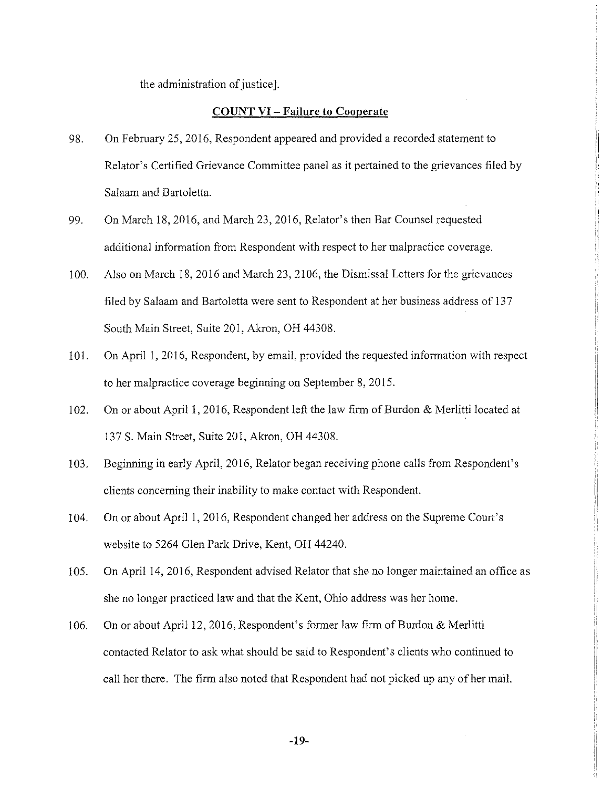the administration of justice].

#### **COUNT VI- Failure to Cooperate**

- 98. On February 25, 2016, Respondent appeared and provided a recorded statement to Relator's Certified Grievance Committee panel as it pertained to the grievances filed by Salaam and Bartoletta.
- 99. On March 18, 2016, and March 23, 2016, Relator's then Bar Counsel requested additional information from Respondent with respect to her malpractice coverage.
- 100. Also on March 18, 2016 and March 23, 2106, the Dismissal Letters for the grievances filed by Salaam and Bartoletta were sent to Respondent at her business address of 137 South Main Street, Suite 201, Akron, OH 44308.
- 101. On April 1, 2016, Respondent, by email, provided the requested information with respect to her malpractice coverage beginning on September 8, 2015.
- 102. On or about April 1, 2016, Respondent left the law firm of Burdon & Merlitti located at 137 S. Main Street, Suite 201, Akron, OH 44308.
- 103. Beginning in early April, 2016, Relator began receiving phone calls from Respondent's clients concerning their inability to make contact with Respondent.
- 104. On or about April 1, 2016, Respondent changed her address on the Supreme Court's website to 5264 Glen Park Drive, Kent, OH 44240.
- 105. On April 14, 2016, Respondent advised Relator that she no longer maintained an office as she no longer practiced law and that the Kent, Ohio address was her home.
- 106. On or about April 12, 2016, Respondent's former law firm of Burdon & Merlitti contacted Relator to ask what should be said to Respondent's clients who continued to call her there. The firm also noted that Respondent had not picked up any of her mail.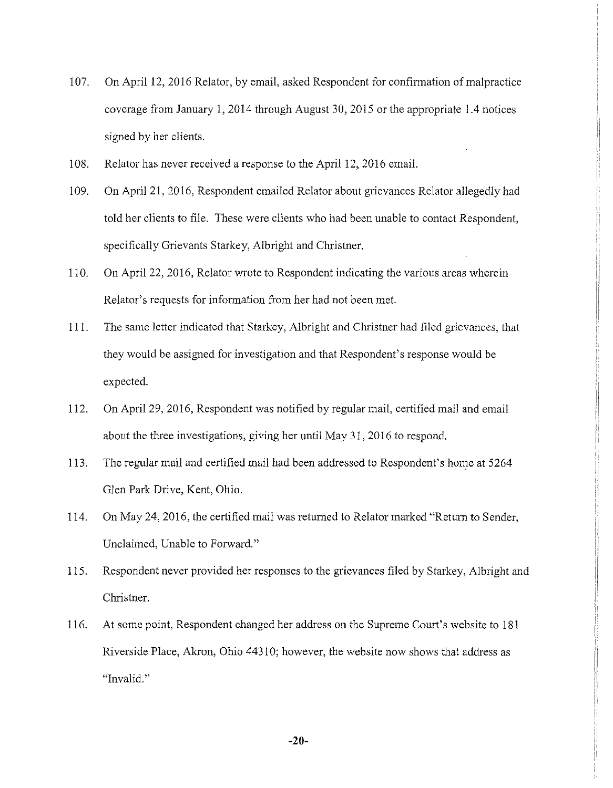- 107. On April 12, 2016 Relator, by email, asked Respondent for confirmation of malpractice coverage from January I, 2014 through August 30, 2015 or the appropriate 1.4 notices signed by her clients.
- 108. Relator has never received a response to the April 12, 2016 email.
- I 09. On April 21, 2016, Respondent emailed Relator about grievances Relator allegedly had told her clients to file. These were clients who had been unable to contact Respondent, specifically Grievants Starkey, Albright and Christner.
- 110. On April 22, 2016, Relator wrote to Respondent indicating the various areas wherein Relator's requests for information from her had not been met.
- 111. The same letter indicated that Starkey, Albright and Christner had filed grievances, that they would be assigned for investigation and that Respondent's response would be expected.
- 112. On April 29, 2016, Respondent was notified by regular mail, certified mail and email about the three investigations, giving her until May 31, 2016 to respond.
- 113. The regular mail and certified mail had been addressed to Respondent's home at 5264 Glen Park Drive, Kent, Ohio.
- 114. On May 24, 2016, the certified mail was returned to Relator marked "Return to Sender, Unclaimed, Unable to Forward."
- 115. Respondent never provided her responses to the grievances filed by Starkey, Albright and Christner.
- 116. At some point, Respondent changed her address on the Supreme Court's website to 181 Riverside Place, Akron, Ohio 4431 O; however, the website now shows that address as "Invalid."

i

II :: ::. ii

ii

i/

ii i: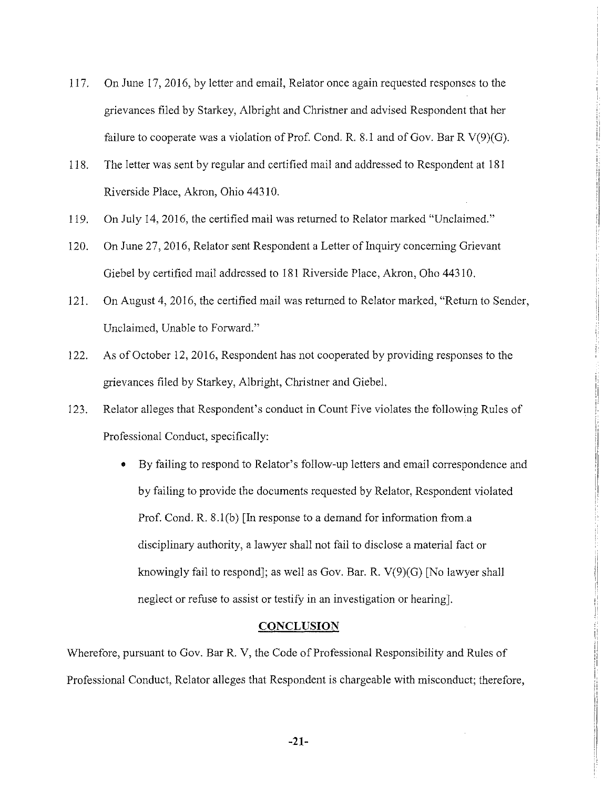117. On June 17, 2016, by letter and email, Relator once again requested responses to the grievances filed by Starkey, Albright and Christner and advised Respondent that her failure to cooperate was a violation of Prof. Cond. R. 8.1 and of Gov. Bar R V(9)(G).

 $\frac{1}{2}$ I !i

- 118. The letter was sent by regular and certified mail and addressed to Respondent at 181 Riverside Place, Akron, Ohio 44310.
- 119. On July 14, 2016, the certified mail was returned to Relator marked "Unclaimed."
- 120. On June 27, 2016, Relator sent Respondent a Letter of Inquiry concerning Grievant Giebel by certified mail addressed to 181 Riverside Place, Akron, Oho 44310.
- 121. On August 4, 2016, the certified mail was returned to Relator marked, "Return to Sender, Unclaimed, Unable to Forward."
- 122. As of October 12, 2016, Respondent has not cooperated by providing responses to the grievances filed by Starkey, Albright, Christner and Giebel.
- 123. Relator alleges that Respondent's conduct in Count Five violates the following Rules of Professional Conduct, specifically:
	- By failing to respond to Relator's follow-up letters and email correspondence and by failing to provide the documents requested by Relator, Respondent violated Prof. Cond. R. 8.l(b) [In response to a demand for information from.a disciplinary authority, a lawyer shall not fail to disclose a material fact or knowingly fail to respond]; as well as Gov. Bar. R. V(9)(G) [No lawyer shall neglect or refuse to assist or testify in an investigation or hearing].

### **CONCLUSION**

Wherefore, pursuant to Gov. Bar R. V, the Code of Professional Responsibility and Rules of Professional Conduct, Relator alleges that Respondent is chargeable with misconduct; therefore,

**-21-**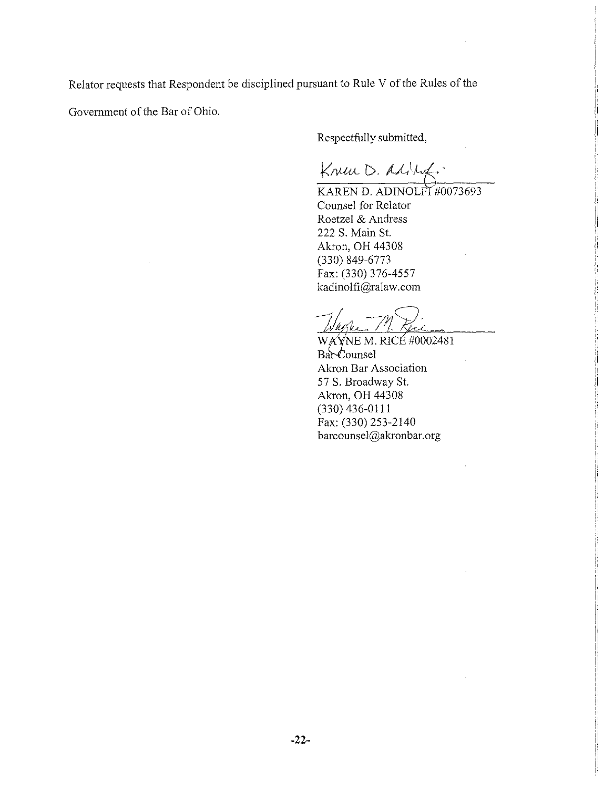Relator requests that Respondent be disciplined pursuant to Rule V of the Rules of the

Government of the Bar of Ohio.

Respectfully submitted,

Knew D. Addref.

KAREN D. ADINOLFI #0073693 Counsel for Relator Roetzel & Andress 222 S. Main St. Akron, OH 44308 (330) 849-6773 Fax: (330) 376-4557 kadinolfi@ralaw.com

WAYNE M. RICE #0002481 Bar Counsel Akron Bar Association 57 S. Broadway St. Akron, OH 44308 (330) 436-0111 Fax: (330) 253-2140 barcounsel@akronbar.org